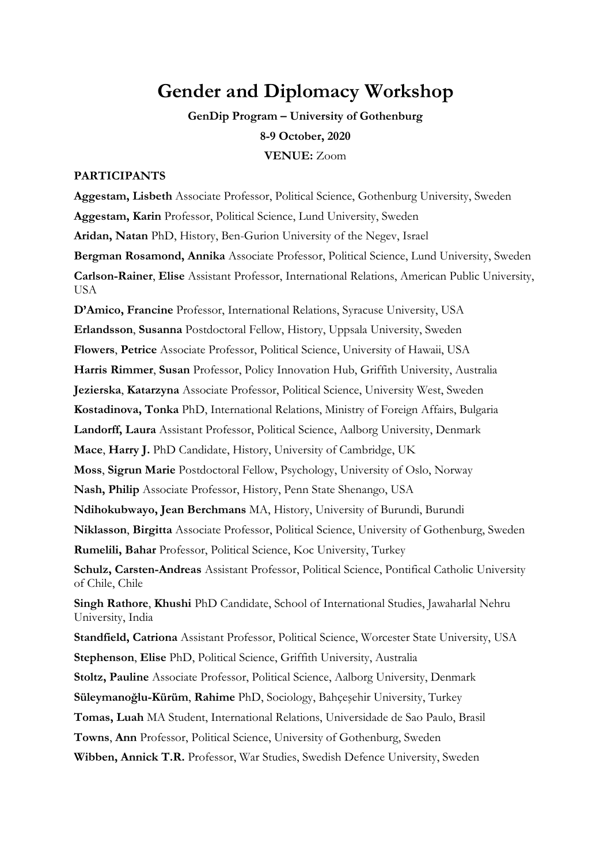# **Gender and Diplomacy Workshop**

**GenDip Program – University of Gothenburg 8-9 October, 2020 VENUE:** Zoom

#### **PARTICIPANTS**

**Aggestam, Lisbeth** Associate Professor, Political Science, Gothenburg University, Sweden **Aggestam, Karin** Professor, Political Science, Lund University, Sweden **Aridan, Natan** PhD, History, Ben-Gurion University of the Negev, Israel **Bergman Rosamond, Annika** Associate Professor, Political Science, Lund University, Sweden **Carlson-Rainer**, **Elise** Assistant Professor, International Relations, American Public University, USA

**D'Amico, Francine** Professor, International Relations, Syracuse University, USA **Erlandsson**, **Susanna** Postdoctoral Fellow, History, Uppsala University, Sweden **Flowers**, **Petrice** Associate Professor, Political Science, University of Hawaii, USA **Harris Rimmer**, **Susan** Professor, Policy Innovation Hub, Griffith University, Australia **Jezierska**, **Katarzyna** Associate Professor, Political Science, University West, Sweden **Kostadinova, Tonka** PhD, International Relations, Ministry of Foreign Affairs, Bulgaria **Landorff, Laura** Assistant Professor, Political Science, Aalborg University, Denmark **Mace**, **Harry J.** PhD Candidate, History, University of Cambridge, UK **Moss**, **Sigrun Marie** Postdoctoral Fellow, Psychology, University of Oslo, Norway **Nash, Philip** Associate Professor, History, Penn State Shenango, USA **Ndihokubwayo, Jean Berchmans** MA, History, University of Burundi, Burundi **Niklasson**, **Birgitta** Associate Professor, Political Science, University of Gothenburg, Sweden **Rumelili, Bahar** Professor, Political Science, Koc University, Turkey **Schulz, Carsten-Andreas** Assistant Professor, Political Science, Pontifical Catholic University of Chile, Chile **Singh Rathore**, **Khushi** PhD Candidate, School of International Studies, Jawaharlal Nehru University, India **Standfield, Catriona** Assistant Professor, Political Science, Worcester State University, USA **Stephenson**, **Elise** PhD, Political Science, Griffith University, Australia **Stoltz, Pauline** Associate Professor, Political Science, Aalborg University, Denmark **Süleymanoğlu-Kürüm**, **Rahime** PhD, Sociology, Bahçeşehir University, Turkey **Tomas, Luah** MA Student, International Relations, Universidade de Sao Paulo, Brasil **Towns**, **Ann** Professor, Political Science, University of Gothenburg, Sweden **Wibben, Annick T.R.** Professor, War Studies, Swedish Defence University, Sweden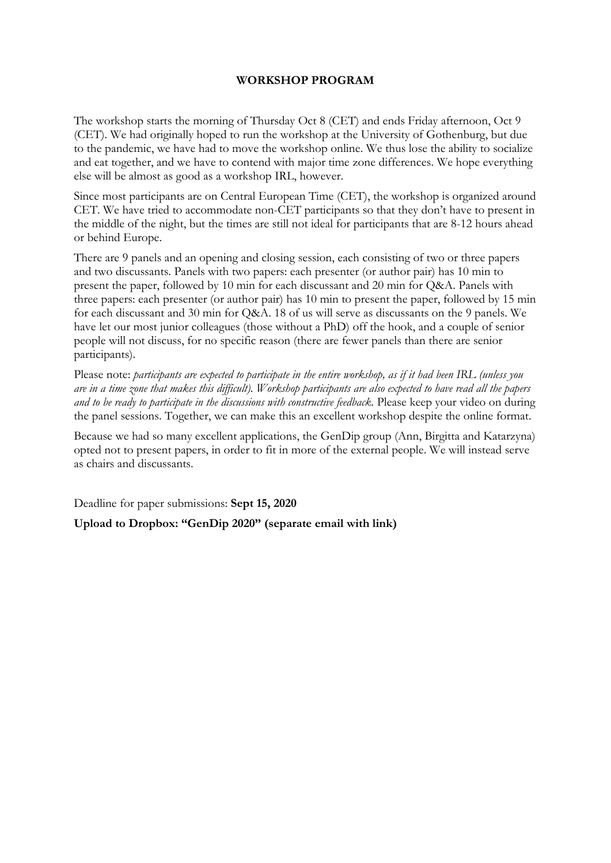#### **WORKSHOP PROGRAM**

The workshop starts the morning of Thursday Oct 8 (CET) and ends Friday afternoon, Oct 9 (CET). We had originally hoped to run the workshop at the University of Gothenburg, but due to the pandemic, we have had to move the workshop online. We thus lose the ability to socialize and eat together, and we have to contend with major time zone differences. We hope everything else will be almost as good as a workshop IRL, however.

Since most participants are on Central European Time (CET), the workshop is organized around CET. We have tried to accommodate non-CET participants so that they don't have to present in the middle of the night, but the times are still not ideal for participants that are 8-12 hours ahead or behind Europe.

There are 9 panels and an opening and closing session, each consisting of two or three papers and two discussants. Panels with two papers: each presenter (or author pair) has 10 min to present the paper, followed by 10 min for each discussant and 20 min for Q&A. Panels with three papers: each presenter (or author pair) has 10 min to present the paper, followed by 15 min for each discussant and 30 min for Q&A. 18 of us will serve as discussants on the 9 panels. We have let our most junior colleagues (those without a PhD) off the hook, and a couple of senior people will not discuss, for no specific reason (there are fewer panels than there are senior participants).

Please note: *participants are expected to participate in the entire workshop, as if it had been IRL (unless you are in a time zone that makes this difficult). Workshop participants are also expected to have read all the papers and to be ready to participate in the discussions with constructive feedback.* Please keep your video on during the panel sessions. Together, we can make this an excellent workshop despite the online format.

Because we had so many excellent applications, the GenDip group (Ann, Birgitta and Katarzyna) opted not to present papers, in order to fit in more of the external people. We will instead serve as chairs and discussants.

Deadline for paper submissions: **Sept 15, 2020**

#### **Upload to Dropbox: "GenDip 2020" (separate email with link)**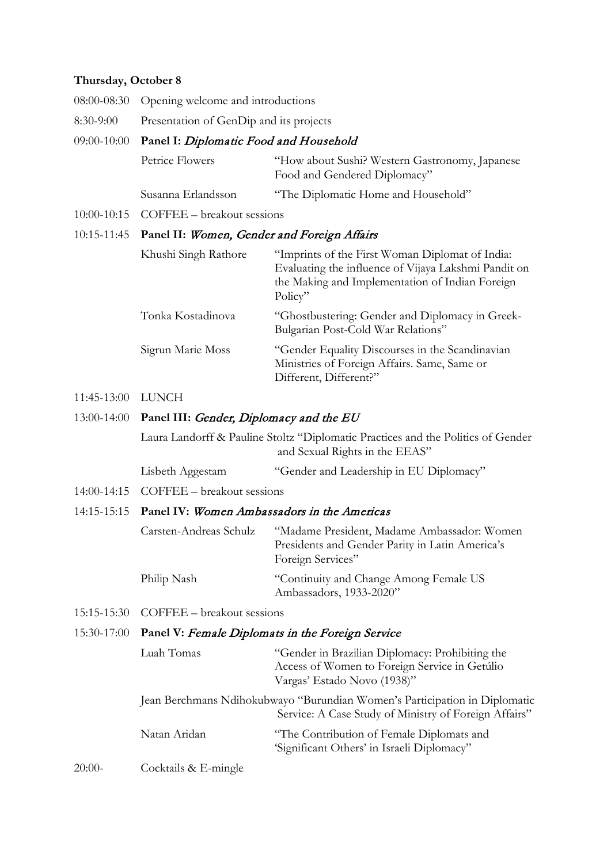#### **Thursday, October 8**

- 08:00-08:30 Opening welcome and introductions
- 8:30-9:00 Presentation of GenDip and its projects

#### 09:00-10:00 **Panel I:** Diplomatic Food and Household

| Petrice Flowers    | "How about Sushi? Western Gastronomy, Japanese |
|--------------------|------------------------------------------------|
|                    | Food and Gendered Diplomacy"                   |
| Susanna Erlandsson | "The Diplomatic Home and Household"            |

10:00-10:15 COFFEE – breakout sessions

#### 10:15-11:45 **Panel II:** Women, Gender and Foreign Affairs

| Khushi Singh Rathore | "Imprints of the First Woman Diplomat of India:<br>Evaluating the influence of Vijaya Lakshmi Pandit on<br>the Making and Implementation of Indian Foreign<br>Policy" |
|----------------------|-----------------------------------------------------------------------------------------------------------------------------------------------------------------------|
| Tonka Kostadinova    | "Ghostbustering: Gender and Diplomacy in Greek-<br>Bulgarian Post-Cold War Relations"                                                                                 |
| Sigrun Marie Moss    | "Gender Equality Discourses in the Scandinavian<br>Ministries of Foreign Affairs. Same, Same or<br>Different, Different?"                                             |

#### 11:45-13:00 LUNCH

#### 13:00-14:00 **Panel III:** Gender, Diplomacy and the EU

Laura Landorff & Pauline Stoltz "Diplomatic Practices and the Politics of Gender and Sexual Rights in the EEAS"

Lisbeth Aggestam "Gender and Leadership in EU Diplomacy"

14:00-14:15 COFFEE – breakout sessions

#### 14:15-15:15 **Panel IV:** Women Ambassadors in the Americas

| Carsten-Andreas Schulz | "Madame President, Madame Ambassador: Women     |
|------------------------|-------------------------------------------------|
|                        | Presidents and Gender Parity in Latin America's |
|                        | Foreign Services"                               |
| Philip Nash            | "Continuity and Change Among Female US          |
|                        | Ambassadors, 1933-2020"                         |

15:15-15:30 COFFEE – breakout sessions

## 15:30-17:00 **Panel V:** Female Diplomats in the Foreign Service

|          | Luah Tomas           | "Gender in Brazilian Diplomacy: Prohibiting the<br>Access of Women to Foreign Service in Getúlio<br>Vargas' Estado Novo (1938)"     |
|----------|----------------------|-------------------------------------------------------------------------------------------------------------------------------------|
|          |                      | Jean Berchmans Ndihokubwayo "Burundian Women's Participation in Diplomatic<br>Service: A Case Study of Ministry of Foreign Affairs" |
|          | Natan Aridan         | "The Contribution of Female Diplomats and<br>'Significant Others' in Israeli Diplomacy"                                             |
| $20:00-$ | Cocktails & E-mingle |                                                                                                                                     |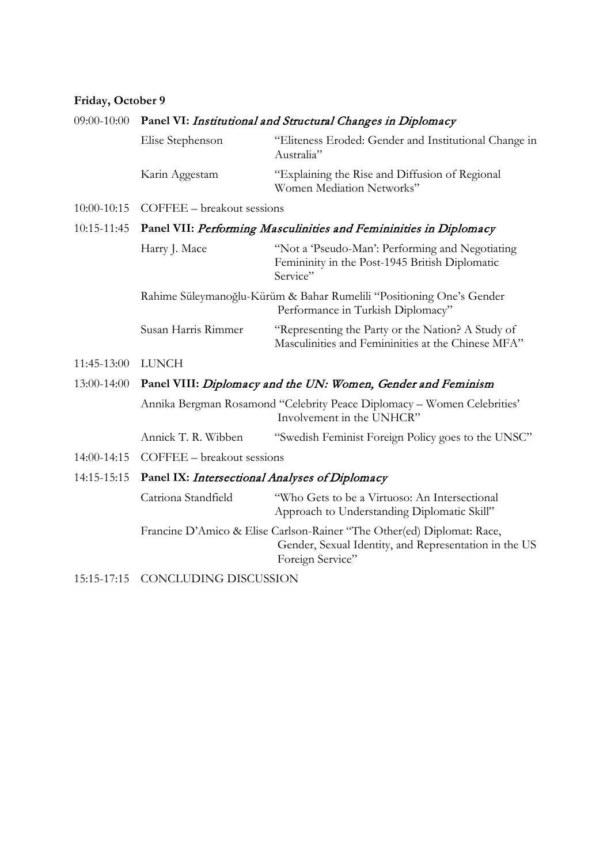#### **Friday, October 9**

#### 09:00-10:00 **Panel VI:** Institutional and Structural Changes in Diplomacy

| Elise Stephenson | "Eliteness Eroded: Gender and Institutional Change in<br>Australia"         |
|------------------|-----------------------------------------------------------------------------|
| Karin Aggestam   | "Explaining the Rise and Diffusion of Regional<br>Women Mediation Networks" |

10:00-10:15 COFFEE – breakout sessions

## 10:15-11:45 **Panel VII:** Performing Masculinities and Femininities in Diplomacy

| Harry J. Mace       | "Not a 'Pseudo-Man': Performing and Negotiating<br>Femininity in the Post-1945 British Diplomatic<br>Service" |
|---------------------|---------------------------------------------------------------------------------------------------------------|
|                     | Rahime Süleymanoğlu-Kürüm & Bahar Rumelili "Positioning One's Gender<br>Performance in Turkish Diplomacy"     |
| Susan Harris Rimmer | "Representing the Party or the Nation? A Study of                                                             |

11:45-13:00 LUNCH

#### 13:00-14:00 **Panel VIII:** Diplomacy and the UN: Women, Gender and Feminism

Annika Bergman Rosamond "Celebrity Peace Diplomacy – Women Celebrities' Involvement in the UNHCR"

Masculinities and Femininities at the Chinese MFA"

Annick T. R. Wibben "Swedish Feminist Foreign Policy goes to the UNSC"

14:00-14:15 COFFEE – breakout sessions

#### 14:15-15:15 **Panel IX:** Intersectional Analyses of Diplomacy

Catriona Standfield "Who Gets to be a Virtuoso: An Intersectional Approach to Understanding Diplomatic Skill" Francine D'Amico & Elise Carlson-Rainer "The Other(ed) Diplomat: Race, Gender, Sexual Identity, and Representation in the US Foreign Service"

15:15-17:15 CONCLUDING DISCUSSION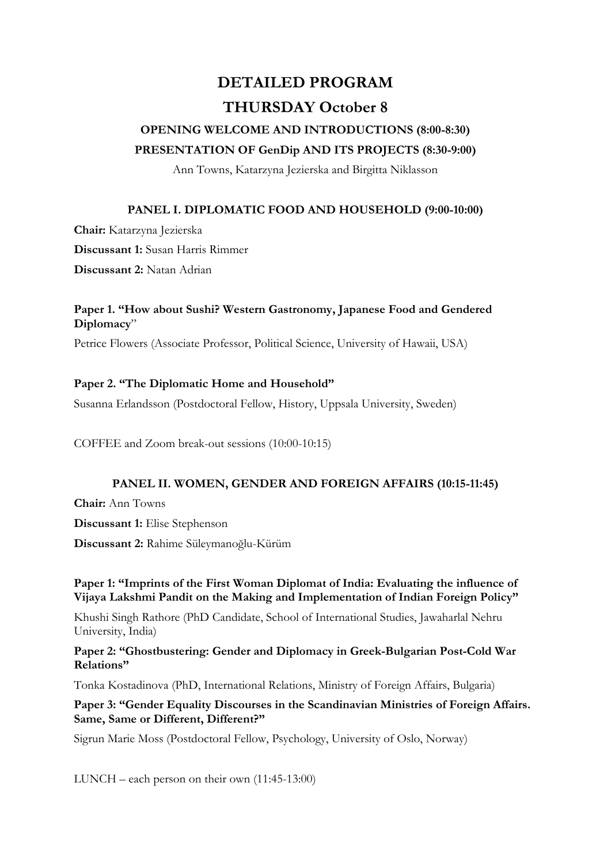# **DETAILED PROGRAM THURSDAY October 8**

## **OPENING WELCOME AND INTRODUCTIONS (8:00-8:30) PRESENTATION OF GenDip AND ITS PROJECTS (8:30-9:00)**

Ann Towns, Katarzyna Jezierska and Birgitta Niklasson

## **PANEL I. DIPLOMATIC FOOD AND HOUSEHOLD (9:00-10:00)**

**Chair:** Katarzyna Jezierska

**Discussant 1:** Susan Harris Rimmer

**Discussant 2:** Natan Adrian

## **Paper 1. "How about Sushi? Western Gastronomy, Japanese Food and Gendered Diplomacy**"

Petrice Flowers (Associate Professor, Political Science, University of Hawaii, USA)

## **Paper 2. "The Diplomatic Home and Household"**

Susanna Erlandsson (Postdoctoral Fellow, History, Uppsala University, Sweden)

COFFEE and Zoom break-out sessions (10:00-10:15)

## **PANEL II. WOMEN, GENDER AND FOREIGN AFFAIRS (10:15-11:45)**

**Chair:** Ann Towns

**Discussant 1:** Elise Stephenson

**Discussant 2:** Rahime Süleymanoğlu-Kürüm

## **Paper 1: "Imprints of the First Woman Diplomat of India: Evaluating the influence of Vijaya Lakshmi Pandit on the Making and Implementation of Indian Foreign Policy"**

Khushi Singh Rathore (PhD Candidate, School of International Studies, Jawaharlal Nehru University, India)

**Paper 2: "Ghostbustering: Gender and Diplomacy in Greek-Bulgarian Post-Cold War Relations"**

Tonka Kostadinova (PhD, International Relations, Ministry of Foreign Affairs, Bulgaria)

#### **Paper 3: "Gender Equality Discourses in the Scandinavian Ministries of Foreign Affairs. Same, Same or Different, Different?"**

Sigrun Marie Moss (Postdoctoral Fellow, Psychology, University of Oslo, Norway)

LUNCH – each person on their own (11:45-13:00)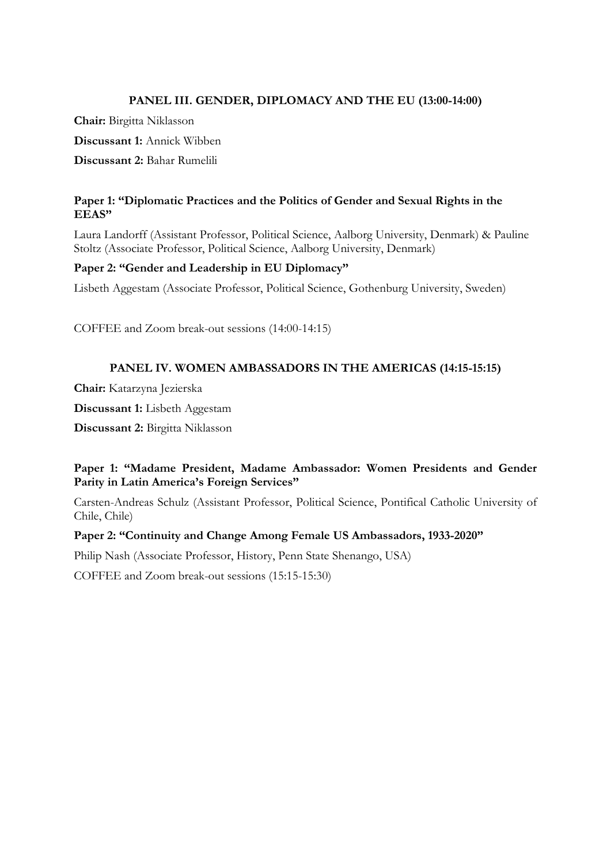#### **PANEL III. GENDER, DIPLOMACY AND THE EU (13:00-14:00)**

**Chair:** Birgitta Niklasson

**Discussant 1:** Annick Wibben

**Discussant 2:** Bahar Rumelili

#### **Paper 1: "Diplomatic Practices and the Politics of Gender and Sexual Rights in the EEAS"**

Laura Landorff (Assistant Professor, Political Science, Aalborg University, Denmark) & Pauline Stoltz (Associate Professor, Political Science, Aalborg University, Denmark)

#### **Paper 2: "Gender and Leadership in EU Diplomacy"**

Lisbeth Aggestam (Associate Professor, Political Science, Gothenburg University, Sweden)

COFFEE and Zoom break-out sessions (14:00-14:15)

#### **PANEL IV. WOMEN AMBASSADORS IN THE AMERICAS (14:15-15:15)**

**Chair:** Katarzyna Jezierska

**Discussant 1:** Lisbeth Aggestam

**Discussant 2:** Birgitta Niklasson

#### **Paper 1: "Madame President, Madame Ambassador: Women Presidents and Gender Parity in Latin America's Foreign Services"**

Carsten-Andreas Schulz (Assistant Professor, Political Science, Pontifical Catholic University of Chile, Chile)

#### **Paper 2: "Continuity and Change Among Female US Ambassadors, 1933-2020"**

Philip Nash (Associate Professor, History, Penn State Shenango, USA)

COFFEE and Zoom break-out sessions (15:15-15:30)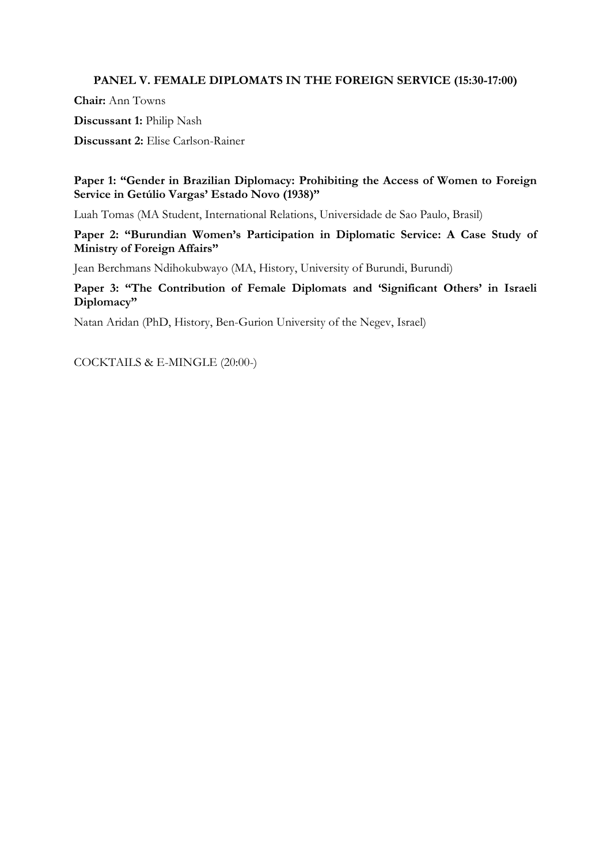#### **PANEL V. FEMALE DIPLOMATS IN THE FOREIGN SERVICE (15:30-17:00)**

**Chair:** Ann Towns

**Discussant 1:** Philip Nash

**Discussant 2:** Elise Carlson-Rainer

**Paper 1: "Gender in Brazilian Diplomacy: Prohibiting the Access of Women to Foreign Service in Getúlio Vargas' Estado Novo (1938)"**

Luah Tomas (MA Student, International Relations, Universidade de Sao Paulo, Brasil)

**Paper 2: "Burundian Women's Participation in Diplomatic Service: A Case Study of Ministry of Foreign Affairs"**

Jean Berchmans Ndihokubwayo (MA, History, University of Burundi, Burundi)

**Paper 3: "The Contribution of Female Diplomats and 'Significant Others' in Israeli Diplomacy"**

Natan Aridan (PhD, History, Ben-Gurion University of the Negev, Israel)

COCKTAILS & E-MINGLE (20:00-)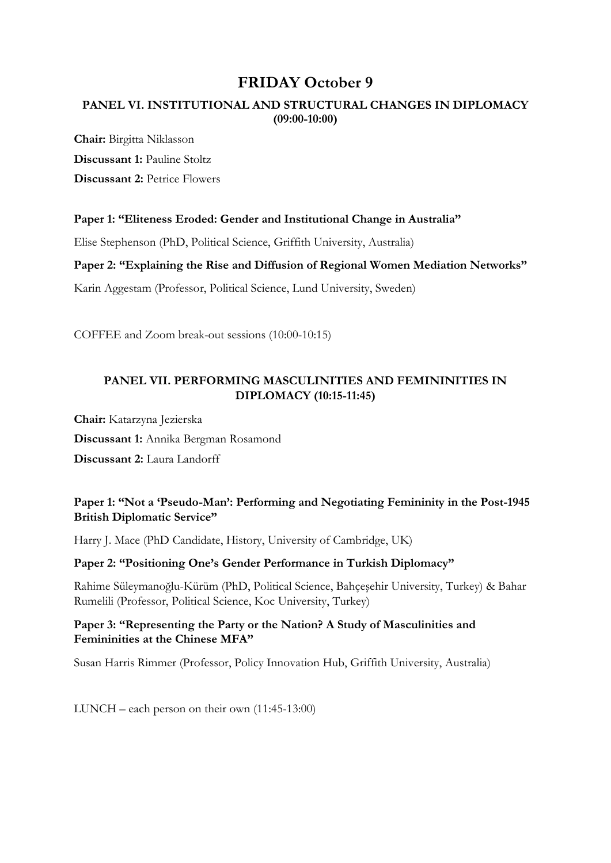## **FRIDAY October 9**

## **PANEL VI. INSTITUTIONAL AND STRUCTURAL CHANGES IN DIPLOMACY (09:00-10:00)**

**Chair:** Birgitta Niklasson **Discussant 1:** Pauline Stoltz **Discussant 2:** Petrice Flowers

#### **Paper 1: "Eliteness Eroded: Gender and Institutional Change in Australia"**

Elise Stephenson (PhD, Political Science, Griffith University, Australia)

**Paper 2: "Explaining the Rise and Diffusion of Regional Women Mediation Networks"**

Karin Aggestam (Professor, Political Science, Lund University, Sweden)

COFFEE and Zoom break-out sessions (10:00-10:15)

#### **PANEL VII. PERFORMING MASCULINITIES AND FEMININITIES IN DIPLOMACY (10:15-11:45)**

**Chair:** Katarzyna Jezierska **Discussant 1:** Annika Bergman Rosamond **Discussant 2:** Laura Landorff

## **Paper 1: "Not a 'Pseudo-Man': Performing and Negotiating Femininity in the Post-1945 British Diplomatic Service"**

Harry J. Mace (PhD Candidate, History, University of Cambridge, UK)

#### **Paper 2: "Positioning One's Gender Performance in Turkish Diplomacy"**

Rahime Süleymanoğlu-Kürüm (PhD, Political Science, Bahçeşehir University, Turkey) & Bahar Rumelili (Professor, Political Science, Koc University, Turkey)

#### **Paper 3: "Representing the Party or the Nation? A Study of Masculinities and Femininities at the Chinese MFA"**

Susan Harris Rimmer (Professor, Policy Innovation Hub, Griffith University, Australia)

LUNCH – each person on their own (11:45-13:00)